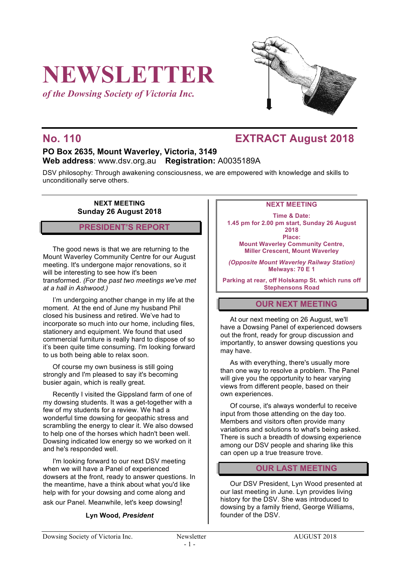# **NEWSLETTER**

*of the Dowsing Society of Victoria Inc.*



# **No. 110 EXTRACT August 2018**

# **PO Box 2635, Mount Waverley, Victoria, 3149 Web address**: www.dsv.org.au **Registration:** A0035189A

DSV philosophy: Through awakening consciousness, we are empowered with knowledge and skills to unconditionally serve others.

#### **NEXT MEETING Sunday 26 August 2018**

#### **PRESIDENT'S REPORT**

The good news is that we are returning to the Mount Waverley Community Centre for our August meeting. It's undergone major renovations, so it will be interesting to see how it's been transformed. *(For the past two meetings we've met at a hall in Ashwood.)*

I'm undergoing another change in my life at the moment. At the end of June my husband Phil closed his business and retired. We've had to incorporate so much into our home, including files, stationery and equipment. We found that used commercial furniture is really hard to dispose of so it's been quite time consuming. I'm looking forward to us both being able to relax soon.

Of course my own business is still going strongly and I'm pleased to say it's becoming busier again, which is really great.

Recently I visited the Gippsland farm of one of my dowsing students. It was a get-together with a few of my students for a review. We had a wonderful time dowsing for geopathic stress and scrambling the energy to clear it. We also dowsed to help one of the horses which hadn't been well. Dowsing indicated low energy so we worked on it and he's responded well.

I'm looking forward to our next DSV meeting when we will have a Panel of experienced dowsers at the front, ready to answer questions. In the meantime, have a think about what you'd like help with for your dowsing and come along and ask our Panel. Meanwhile, let's keep dowsing!

#### **Lyn Wood,** *President*

#### **NEXT MEETING**

**Time & Date: 1.45 pm for 2.00 pm start, Sunday 26 August 2018 Place: Mount Waverley Community Centre, Miller Crescent, Mount Waverley**

*(Opposite Mount Waverley Railway Station)* **Melways: 70 E 1**

**Parking at rear, off Holskamp St. which runs off Stephensons Road**

# **OUR NEXT MEETING**

At our next meeting on 26 August, we'll have a Dowsing Panel of experienced dowsers out the front, ready for group discussion and importantly, to answer dowsing questions you may have.

As with everything, there's usually more than one way to resolve a problem. The Panel will give you the opportunity to hear varying views from different people, based on their own experiences.

Of course, it's always wonderful to receive input from those attending on the day too. Members and visitors often provide many variations and solutions to what's being asked. There is such a breadth of dowsing experience among our DSV people and sharing like this can open up a true treasure trove.

### **OUR LAST MEETING**

Our DSV President, Lyn Wood presented at our last meeting in June. Lyn provides living history for the DSV. She was introduced to dowsing by a family friend, George Williams, founder of the DSV.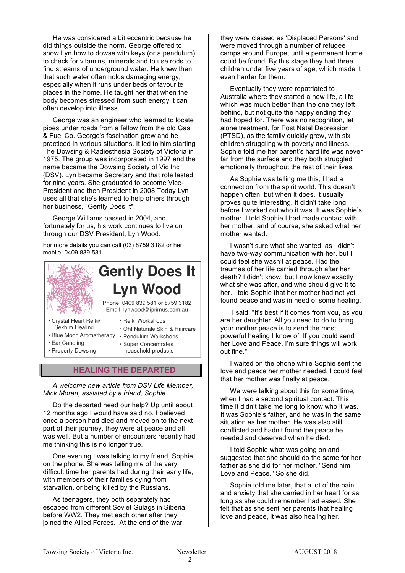He was considered a bit eccentric because he did things outside the norm. George offered to show Lyn how to dowse with keys (or a pendulum) to check for vitamins, minerals and to use rods to find streams of underground water. He knew then that such water often holds damaging energy, especially when it runs under beds or favourite places in the home. He taught her that when the body becomes stressed from such energy it can often develop into illness.

George was an engineer who learned to locate pipes under roads from a fellow from the old Gas & Fuel Co. George's fascination grew and he practiced in various situations. It led to him starting The Dowsing & Radiesthesia Society of Victoria in 1975. The group was incorporated in 1997 and the name became the Dowsing Society of Vic Inc (DSV). Lyn became Secretary and that role lasted for nine years. She graduated to become Vice-President and then President in 2008.Today Lyn uses all that she's learned to help others through her business, "Gently Does It".

George Williams passed in 2004, and fortunately for us, his work continues to live on through our DSV President, Lyn Wood.

For more details you can call (03) 8759 3182 or her mobile: 0409 839 581.



### **HEALING THE DEPARTED**

*A welcome new article from DSV Life Member, Mick Moran, assisted by a friend, Sophie.*

Do the departed need our help? Up until about 12 months ago I would have said no. I believed once a person had died and moved on to the next part of their journey, they were at peace and all was well. But a number of encounters recently had me thinking this is no longer true.

One evening I was talking to my friend, Sophie, on the phone. She was telling me of the very difficult time her parents had during their early life, with members of their families dying from starvation, or being killed by the Russians.

As teenagers, they both separately had escaped from different Soviet Gulags in Siberia, before WW2. They met each other after they joined the Allied Forces. At the end of the war,

they were classed as 'Displaced Persons' and were moved through a number of refugee camps around Europe, until a permanent home could be found. By this stage they had three children under five years of age, which made it even harder for them.

Eventually they were repatriated to Australia where they started a new life, a life which was much better than the one they left behind, but not quite the happy ending they had hoped for. There was no recognition, let alone treatment, for Post Natal Depression (PTSD), as the family quickly grew, with six children struggling with poverty and illness. Sophie told me her parent's hard life was never far from the surface and they both struggled emotionally throughout the rest of their lives.

As Sophie was telling me this, I had a connection from the spirit world. This doesn't happen often, but when it does, it usually proves quite interesting. It didn't take long before I worked out who it was. It was Sophie's mother. I told Sophie I had made contact with her mother, and of course, she asked what her mother wanted.

I wasn't sure what she wanted, as I didn't have two-way communication with her, but I could feel she wasn't at peace. Had the traumas of her life carried through after her death? I didn't know, but I now knew exactly what she was after, and who should give it to her. I told Sophie that her mother had not yet found peace and was in need of some healing.

I said, "It's best if it comes from you, as you are her daughter. All you need to do to bring your mother peace is to send the most powerful healing I know of. If you could send her Love and Peace, I'm sure things will work out fine."

I waited on the phone while Sophie sent the love and peace her mother needed. I could feel that her mother was finally at peace.

We were talking about this for some time, when I had a second spiritual contact. This time it didn't take me long to know who it was. It was Sophie's father, and he was in the same situation as her mother. He was also still conflicted and hadn't found the peace he needed and deserved when he died.

I told Sophie what was going on and suggested that she should do the same for her father as she did for her mother. "Send him Love and Peace." So she did.

Sophie told me later, that a lot of the pain and anxiety that she carried in her heart for as long as she could remember had eased. She felt that as she sent her parents that healing love and peace, it was also healing her.